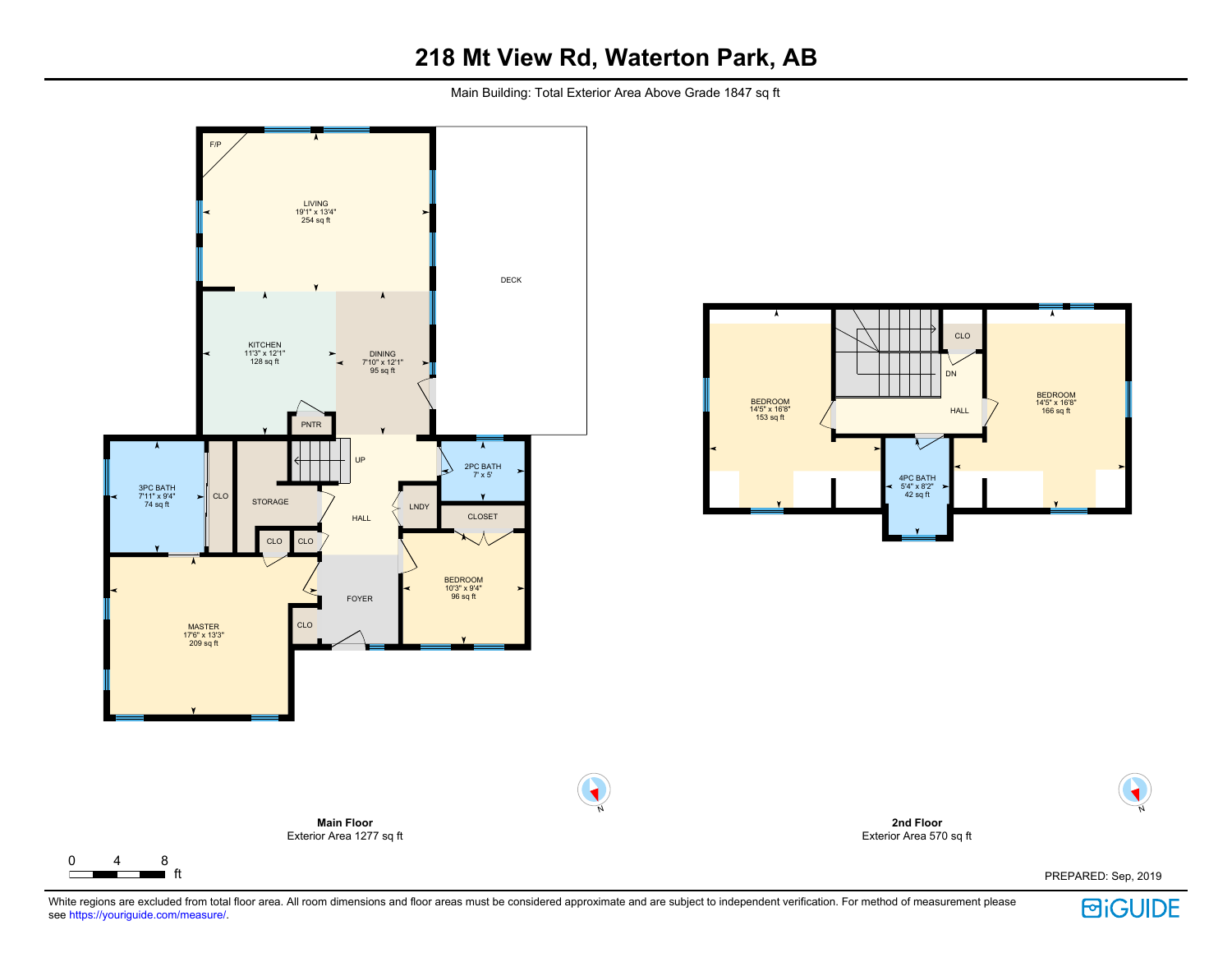Main Building: Total Exterior Area Above Grade 1847 sq ft



 $\Gamma$ 





PREPARED: Sep, 2019



N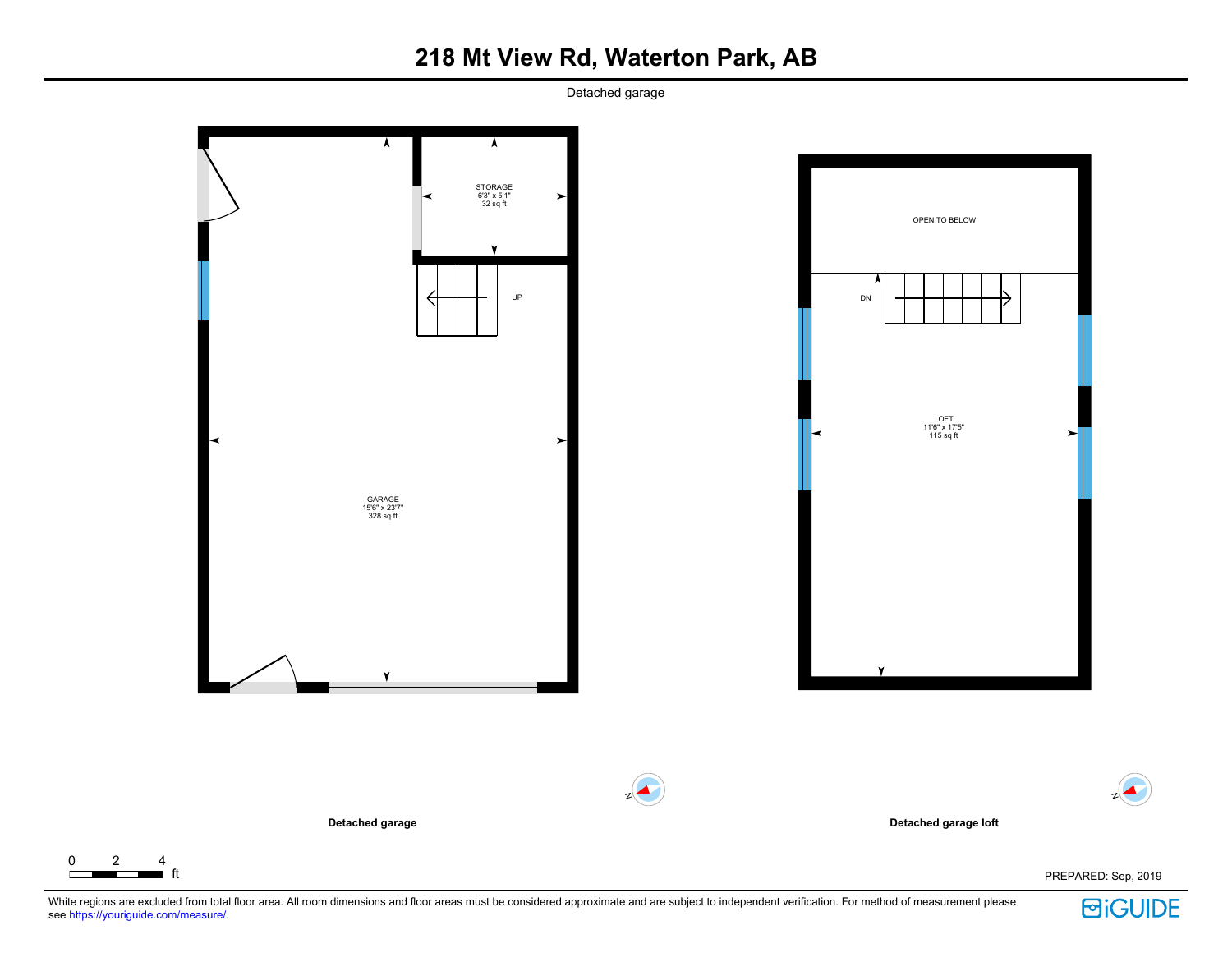Detached garage



 $\Gamma$ 

**回iGUIDE**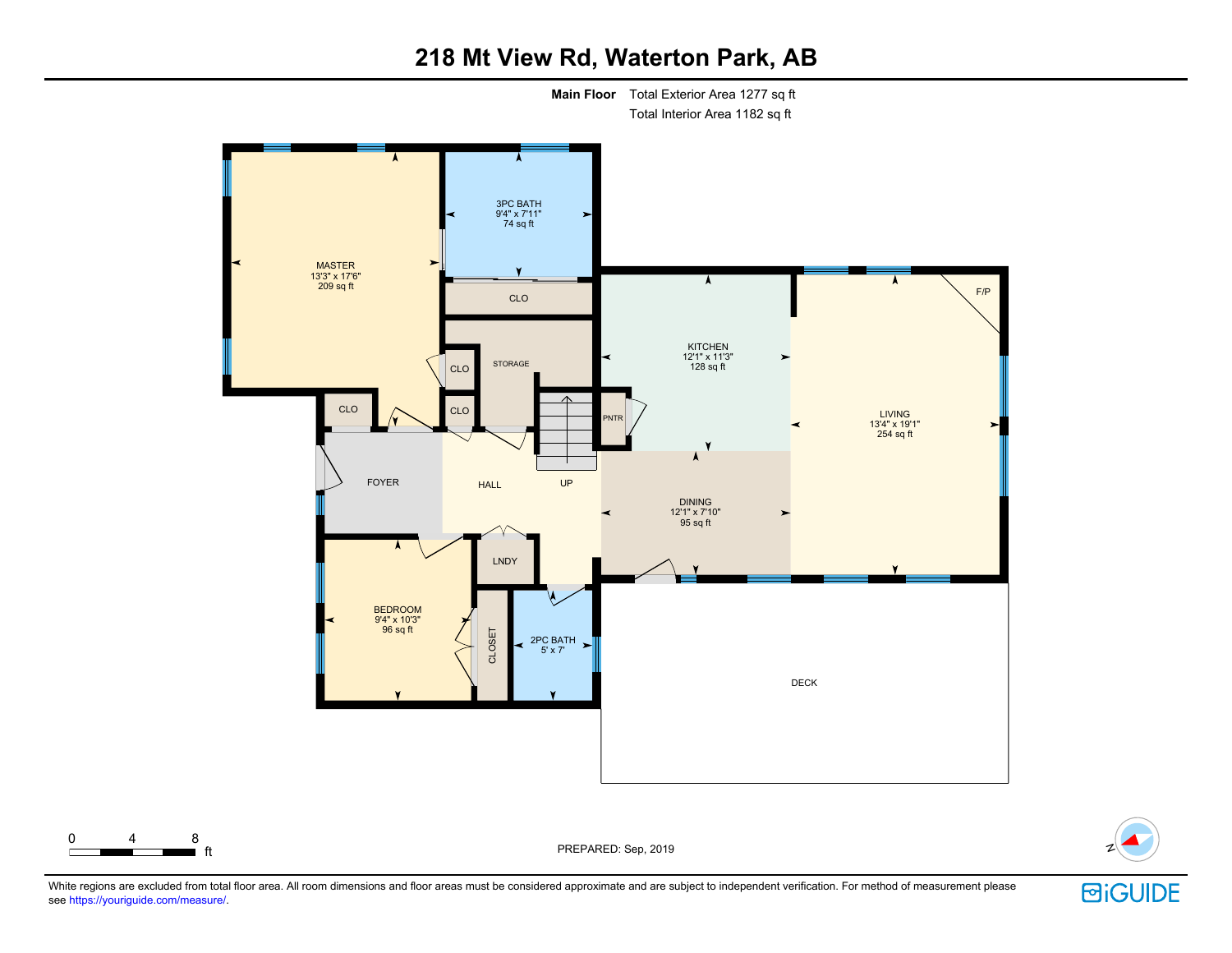

### 0 4 8

ft PREPARED: Sep, 2019 <sup>N</sup>



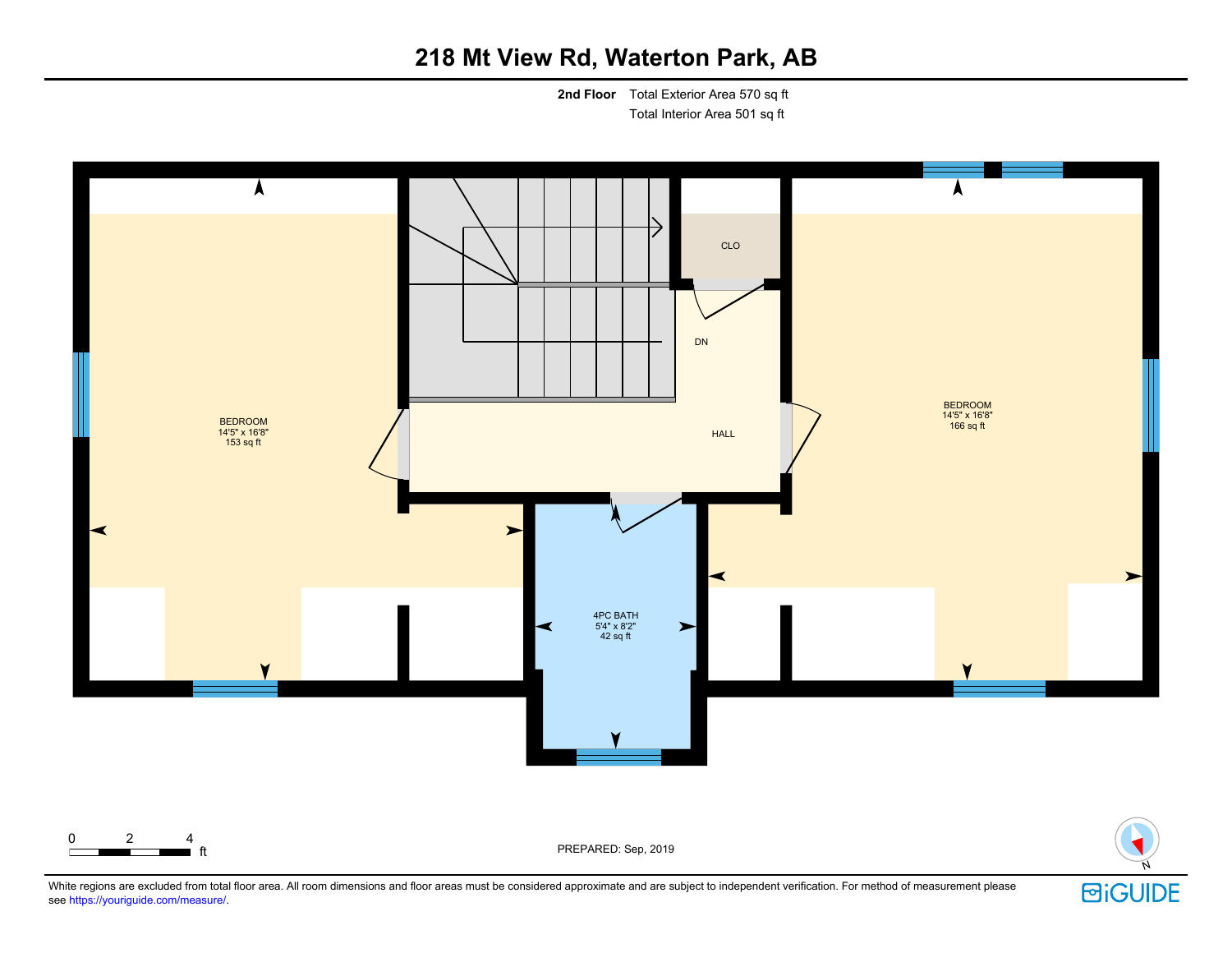**2nd Floor** Total Exterior Area 570 sq ft Total Interior Area 501 sq ft



White regions are excluded from total floor area. All room dimensions and floor areas must be considered approximate and are subject to independent verification. For method of measurement please see https://youriguide.com/measure/.

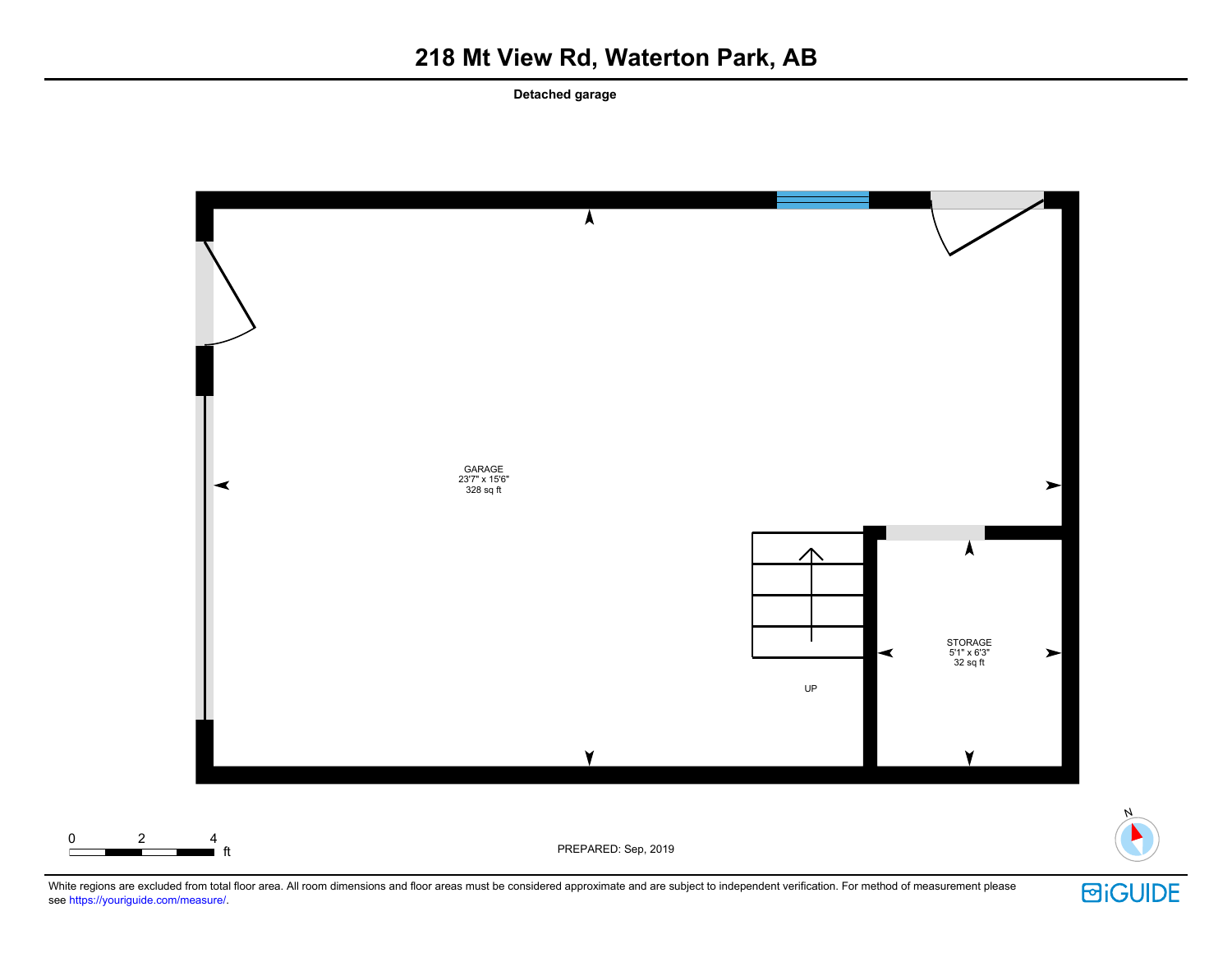**Detached garage**



White regions are excluded from total floor area. All room dimensions and floor areas must be considered approximate and are subject to independent verification. For method of measurement please see https://youriguide.com/measure/.



N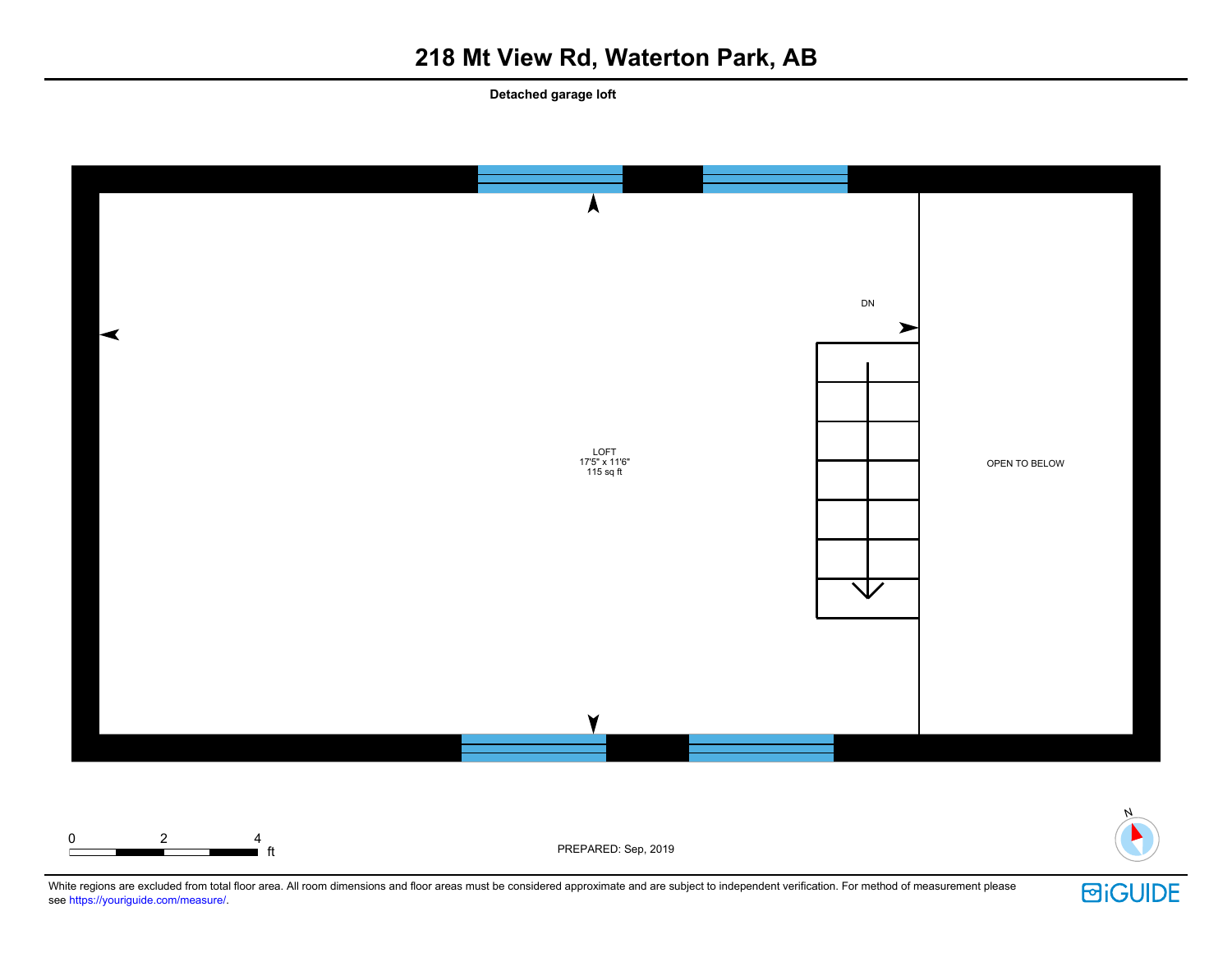**Detached garage loft**





**ft** ft PREPARED: Sep, 2019

White regions are excluded from total floor area. All room dimensions and floor areas must be considered approximate and are subject to independent verification. For method of measurement please see https://youriguide.com/measure/.

0 2 4

**回iGUIDE**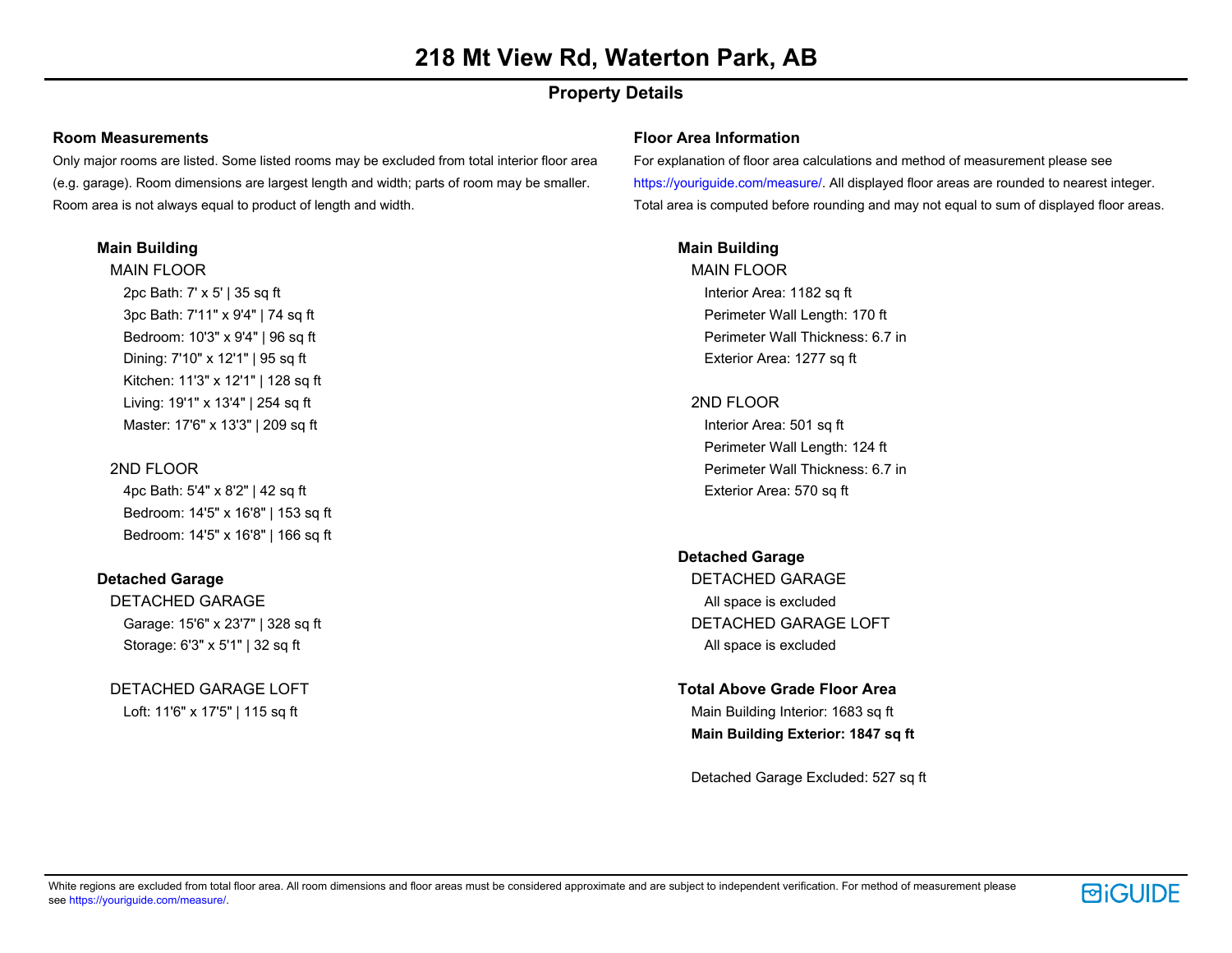### **Property Details**

#### **Room Measurements**

Only major rooms are listed. Some listed rooms may be excluded from total interior floor area (e.g. garage). Room dimensions are largest length and width; parts of room may be smaller. Room area is not always equal to product of length and width.

#### **Main Building**

MAIN FLOOR 2pc Bath: 7' x 5' | 35 sq ft 3pc Bath: 7'11" x 9'4" | 74 sq ft Bedroom: 10'3" x 9'4" | 96 sq ft Dining: 7'10" x 12'1" | 95 sq ft Kitchen: 11'3" x 12'1" | 128 sq ft Living: 19'1" x 13'4" | 254 sq ft Master: 17'6" x 13'3" | 209 sq ft

#### 2ND FLOOR

4pc Bath: 5'4" x 8'2" | 42 sq ft Bedroom: 14'5" x 16'8" | 153 sq ft Bedroom: 14'5" x 16'8" | 166 sq ft

#### **Detached Garage**

DETACHED GARAGE Garage: 15'6" x 23'7" | 328 sq ft Storage: 6'3" x 5'1" | 32 sq ft

DETACHED GARAGE LOFT Loft: 11'6" x 17'5" | 115 sq ft

#### **Floor Area Information**

For explanation of floor area calculations and method of measurement please see https://youriguide.com/measure/. All displayed floor areas are rounded to nearest integer. Total area is computed before rounding and may not equal to sum of displayed floor areas.

#### **Main Building**

MAIN FLOOR Interior Area: 1182 sq ft Perimeter Wall Length: 170 ft Perimeter Wall Thickness: 6.7 in Exterior Area: 1277 sq ft

#### 2ND FLOOR

Interior Area: 501 sq ft Perimeter Wall Length: 124 ft Perimeter Wall Thickness: 6.7 in Exterior Area: 570 sq ft

#### **Detached Garage**

DETACHED GARAGE All space is excluded DETACHED GARAGE LOFT All space is excluded

#### **Total Above Grade Floor Area**

Main Building Interior: 1683 sq ft **Main Building Exterior: 1847 sq ft**

Detached Garage Excluded: 527 sq ft

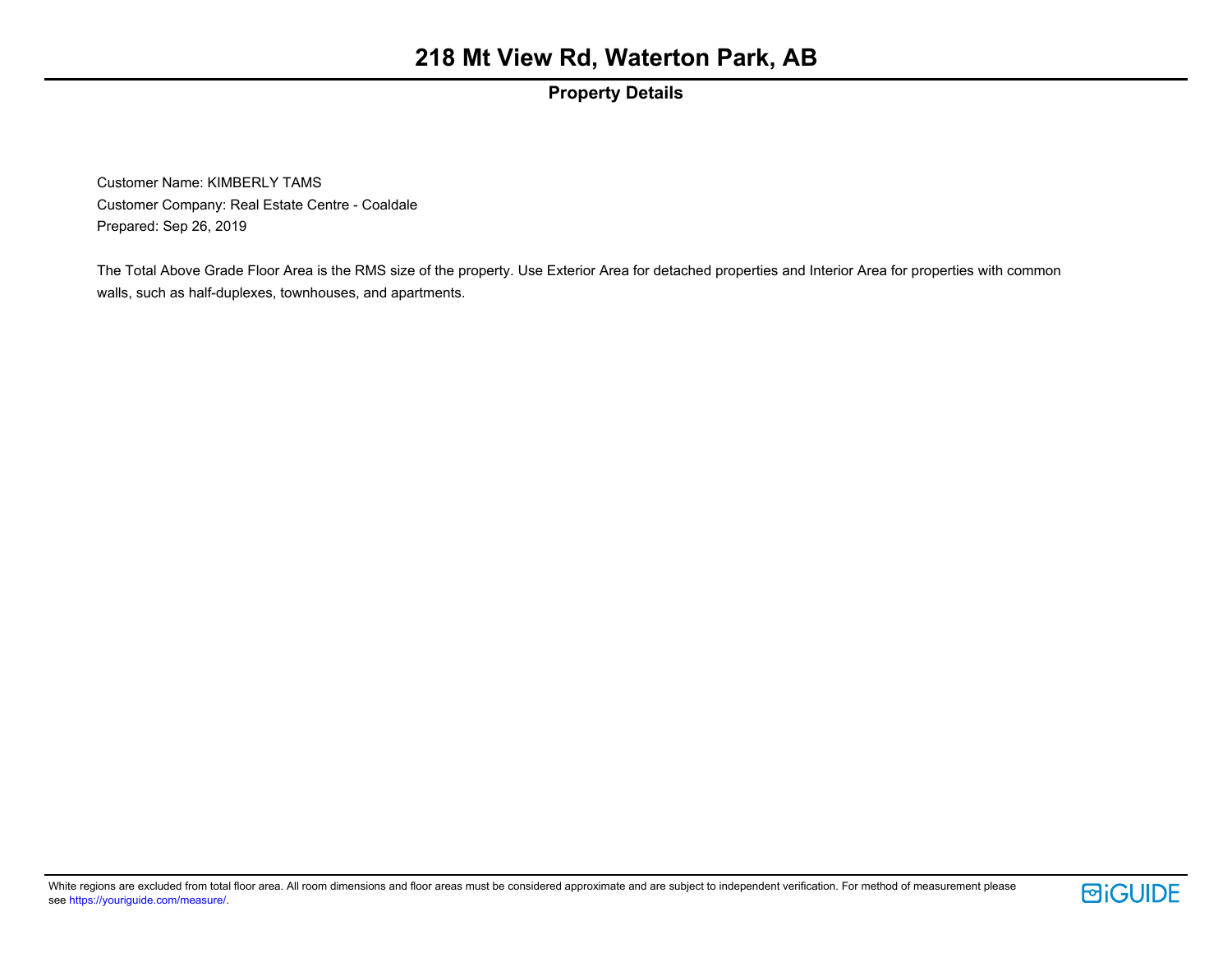### **Property Details**

Customer Name: KIMBERLY TAMS Customer Company: Real Estate Centre - Coaldale Prepared: Sep 26, 2019

The Total Above Grade Floor Area is the RMS size of the property. Use Exterior Area for detached properties and Interior Area for properties with common walls, such as half-duplexes, townhouses, and apartments.

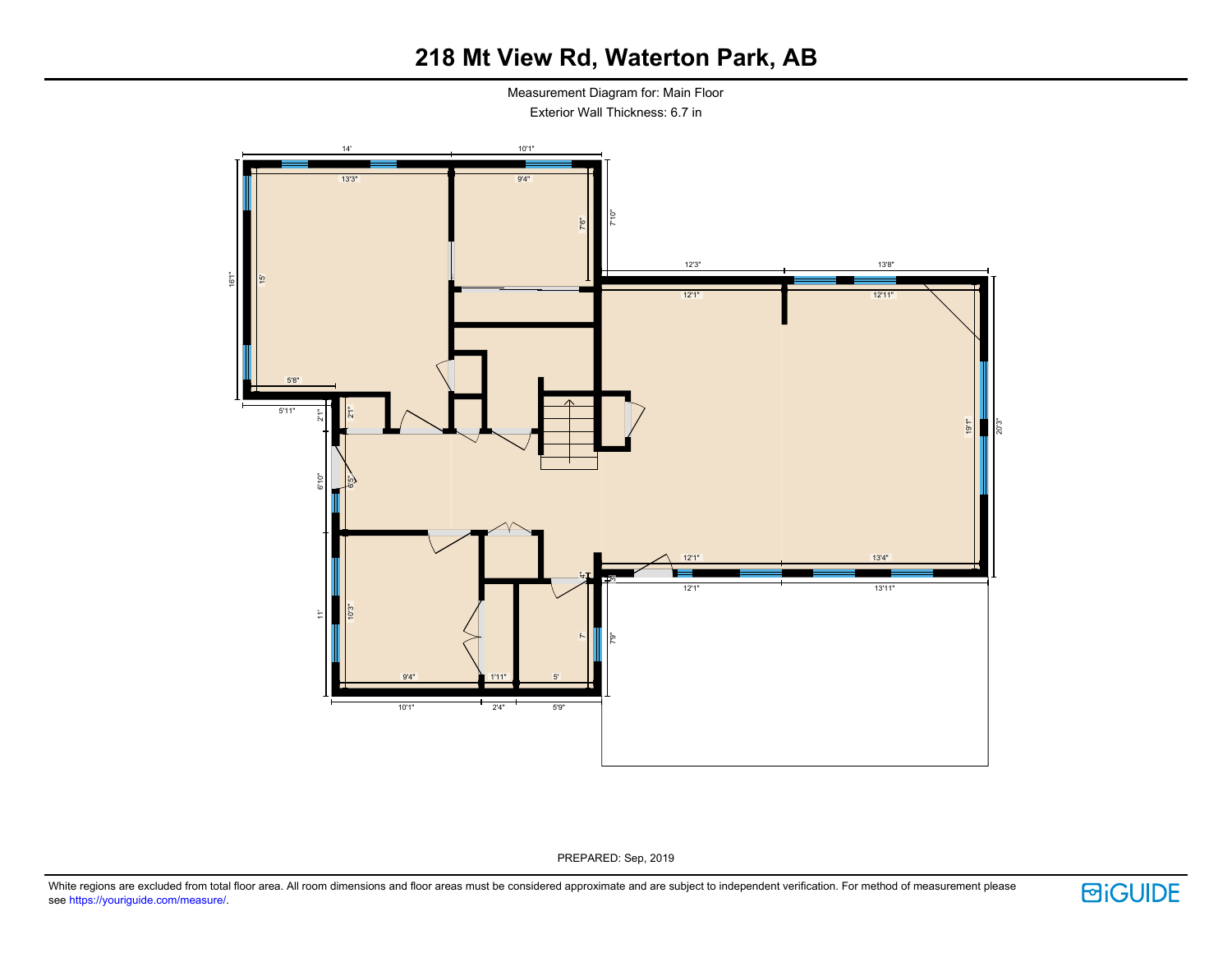Measurement Diagram for: Main Floor Exterior Wall Thickness: 6.7 in



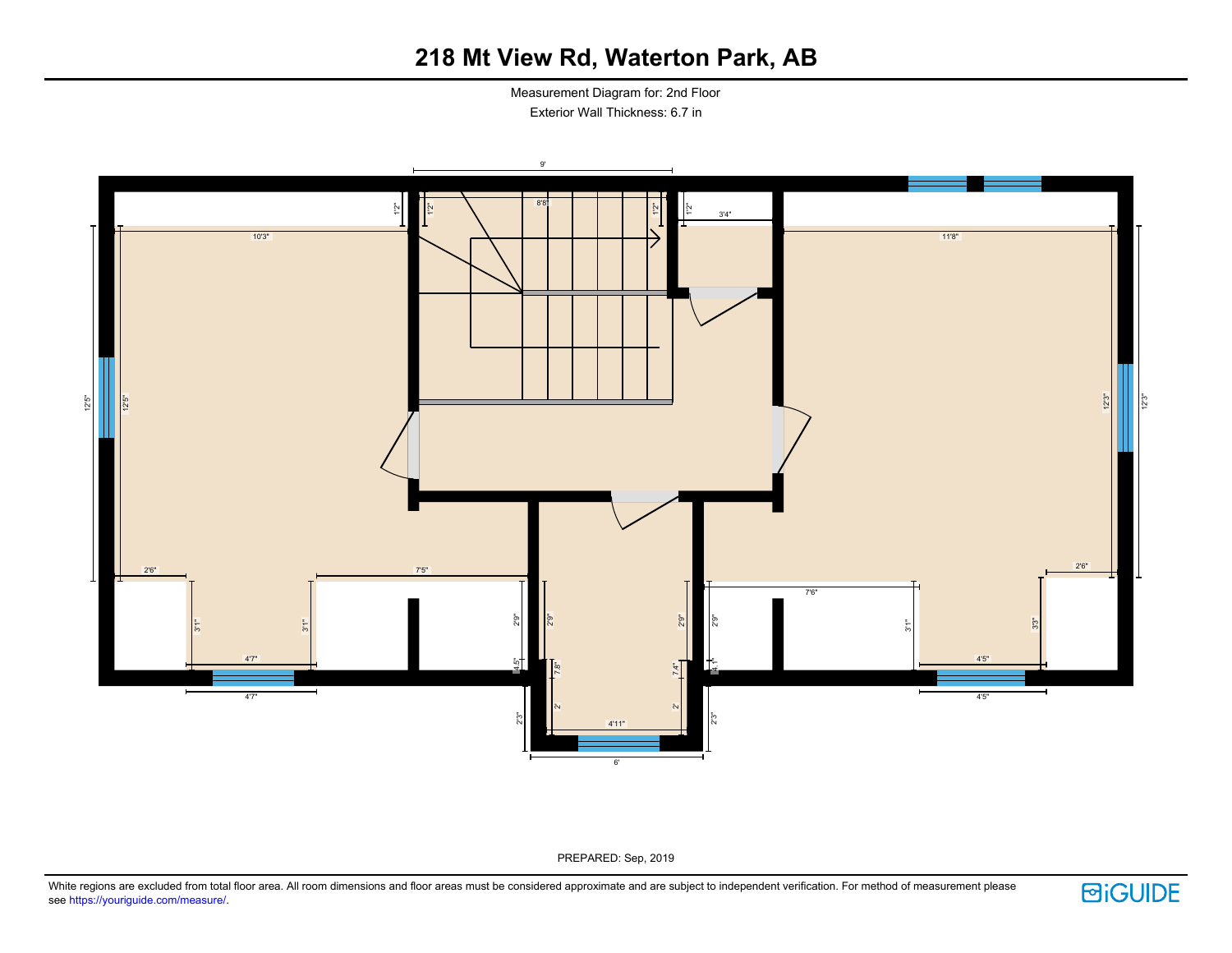Measurement Diagram for: 2nd Floor Exterior Wall Thickness: 6.7 in



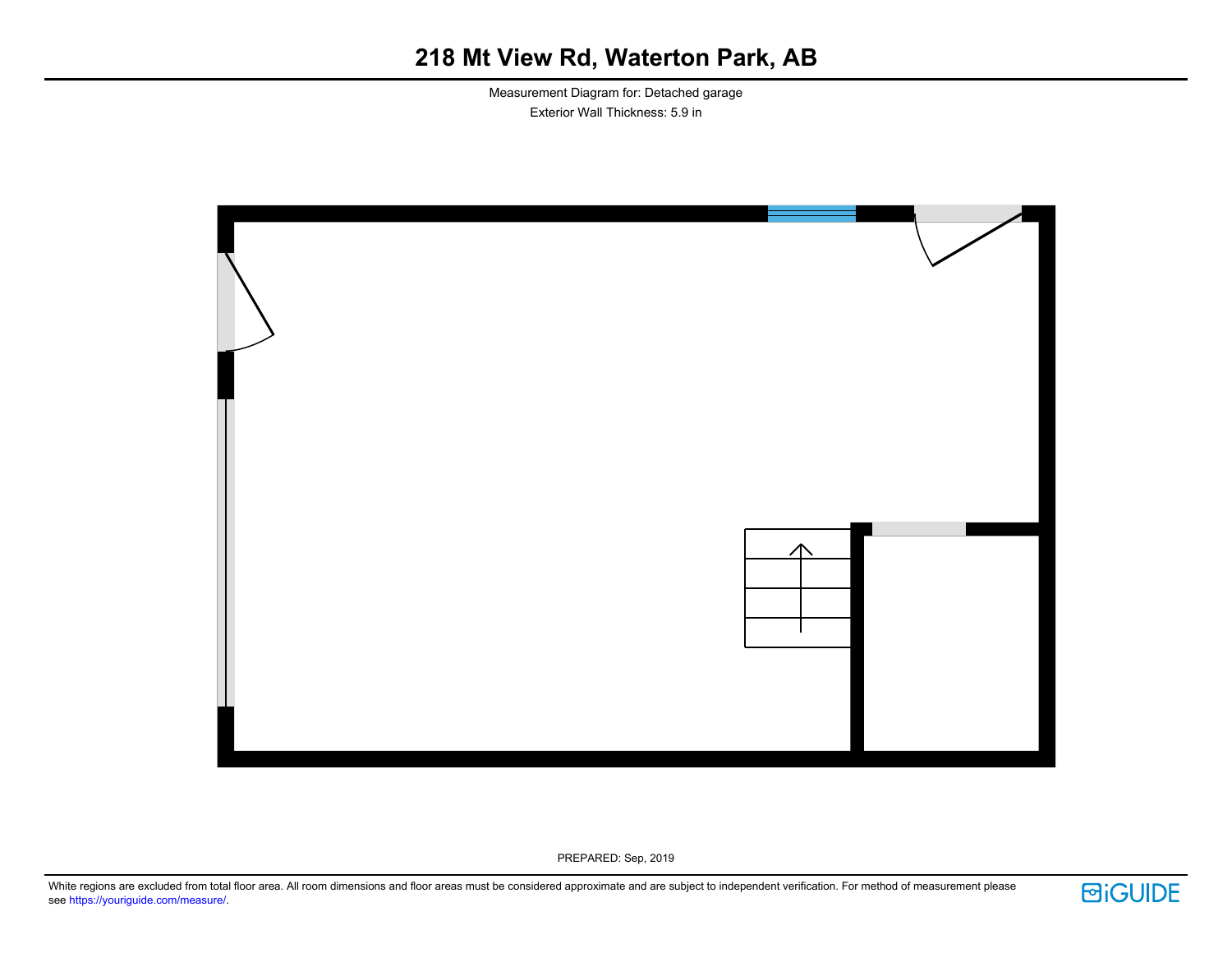Measurement Diagram for: Detached garage Exterior Wall Thickness: 5.9 in